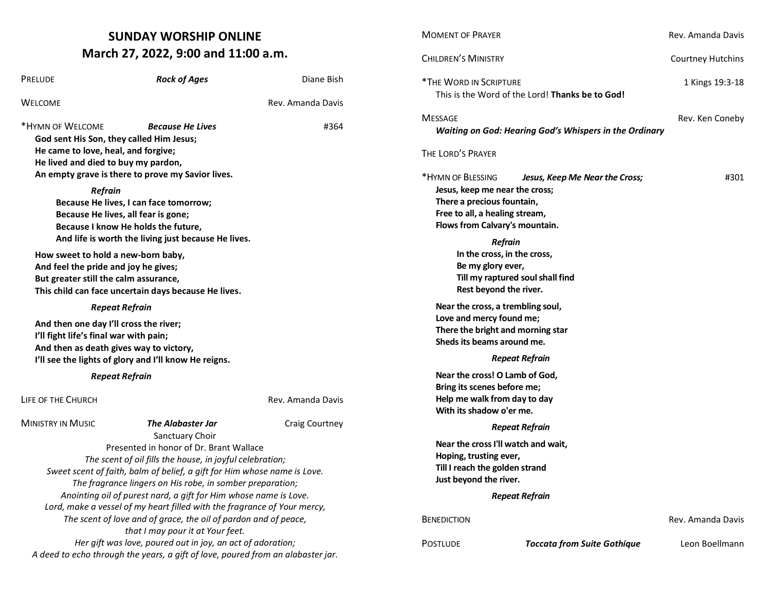## **SUNDAY WORSHIP ONLINE March 27, 2022, 9:00 and 11:00 a.m.**

| PRELUDE                                                                                                                                                                                                                                       | <b>Rock of Ages</b>                                              | Diane Bish            | *THE WORD IN SCRIPTURE                                                                                                                                 |                       |
|-----------------------------------------------------------------------------------------------------------------------------------------------------------------------------------------------------------------------------------------------|------------------------------------------------------------------|-----------------------|--------------------------------------------------------------------------------------------------------------------------------------------------------|-----------------------|
| WELCOME                                                                                                                                                                                                                                       |                                                                  | Rev. Amanda Davis     | This is the Word of the Lord! The                                                                                                                      |                       |
| *HYMN OF WELCOME<br>#364<br><b>Because He Lives</b><br>God sent His Son, they called Him Jesus;<br>He came to love, heal, and forgive;<br>He lived and died to buy my pardon,<br>An empty grave is there to prove my Savior lives.<br>Refrain |                                                                  |                       | <b>MESSAGE</b><br><b>Waiting on God: Hearing God's</b><br>THE LORD'S PRAYER<br>*HYMN OF BLESSING<br>Jesus, Kee<br>Jesus, keep me near the cross;       |                       |
| Because He lives, I can face tomorrow;<br>Because He lives, all fear is gone;<br>Because I know He holds the future,<br>And life is worth the living just because He lives.                                                                   |                                                                  |                       | There a precious fountain,<br>Free to all, a healing stream,<br>Flows from Calvary's mountain.<br><b>Refrain</b>                                       |                       |
| How sweet to hold a new-born baby,<br>And feel the pride and joy he gives;<br>But greater still the calm assurance,<br>This child can face uncertain days because He lives.                                                                   |                                                                  |                       | In the cross, in the cross,<br>Be my glory ever,<br>Till my raptured soul shall<br>Rest beyond the river.                                              |                       |
| <b>Repeat Refrain</b><br>And then one day I'll cross the river;<br>I'll fight life's final war with pain;<br>And then as death gives way to victory,<br>I'll see the lights of glory and I'll know He reigns.                                 |                                                                  |                       | Near the cross, a trembling soul<br>Love and mercy found me;<br>There the bright and morning st<br>Sheds its beams around me.<br><b>Repeat Refrain</b> |                       |
| <b>Repeat Refrain</b>                                                                                                                                                                                                                         |                                                                  |                       | Near the cross! O Lamb of God,                                                                                                                         |                       |
| LIFE OF THE CHURCH                                                                                                                                                                                                                            |                                                                  | Rev. Amanda Davis     | Bring its scenes before me;<br>Help me walk from day to day<br>With its shadow o'er me.                                                                |                       |
| <b>MINISTRY IN MUSIC</b>                                                                                                                                                                                                                      | <b>The Alabaster Jar</b><br>Sanctuary Choir                      | <b>Craig Courtney</b> |                                                                                                                                                        | <b>Repeat Refrain</b> |
| Presented in honor of Dr. Brant Wallace<br>The scent of oil fills the house, in joyful celebration;<br>Sweet scent of faith, balm of belief, a gift for Him whose name is Love.<br>The fragrance lingers on His robe, in somber preparation;  |                                                                  |                       | Near the cross I'll watch and wa<br>Hoping, trusting ever,<br>Till I reach the golden strand<br>Just beyond the river.                                 |                       |
|                                                                                                                                                                                                                                               | Anointing oil of purest nard, a gift for Him whose name is Love. | <b>Repeat Refrain</b> |                                                                                                                                                        |                       |
| Lord, make a vessel of my heart filled with the fragrance of Your mercy,<br>The scent of love and of grace, the oil of pardon and of peace,<br>that I may pour it at Your feet.                                                               |                                                                  |                       | <b>BENEDICTION</b>                                                                                                                                     |                       |
| Her gift was love, poured out in joy, an act of adoration;<br>A deed to echo through the years, a gift of love, poured from an alabaster jar.                                                                                                 |                                                                  |                       | <b>POSTLUDE</b>                                                                                                                                        | Toccata               |

MOMENT OF PRAYER THE STATE OF A LOCAL TRANSFORM CONTROL AND REV. Amanda Davis CHILDREN'S MINISTRY **COULD ASSESSED ASSESSED ASSESS** 1 Kings 19:3-18 Thanks be to God! Rev. Ken Coneby *Waiting on God: Hearing God's Whispers in the Ordinary* Keep Me Near the Cross;  $\mu$  *H301* **Flows from Calvary's mountain. In the cross, in the cross, all find** oul, star wait, Rev. Amanda Davis **ta from Suite Gothique** Leon Boellmann